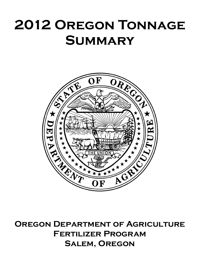## **2012 Oregon Tonnage Summary**



**Oregon Department of Agriculture Fertilizer Program Salem, Oregon**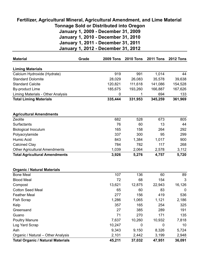## **Tonnage Sold or Distributed into Oregon January 1, 2009 - December 31, 2009 January 1, 2010 - December 31, 2010 January 1, 2011 - December 31, 2011 Fertilizer, Agricultural Mineral, Agricultural Amendment, and Lime Material**

**January 1, 2012 - December 31, 2012**

| <b>Material</b>                          | Grade | <b>2009 Tons</b> | <b>2010 Tons</b> | <b>2011 Tons</b> | <b>2012 Tons</b> |
|------------------------------------------|-------|------------------|------------------|------------------|------------------|
|                                          |       |                  |                  |                  |                  |
| <b>Liming Materials</b>                  |       |                  |                  |                  |                  |
| Calcium Hydroxide (Hydrate)              |       | 919              | 991              | 1,014            | 44               |
| <b>Standard Dolomite</b>                 |       | 28,029           | 26,083           | 35,578           | 39,638           |
| <b>Standard Calcite</b>                  |       | 120,821          | 111,618          | 141,086          | 154,528          |
| <b>By-product Lime</b>                   |       | 185,675          | 193,260          | 166,887          | 167,626          |
| Liming Materials - Other Analysis        |       | 0                | 1                | 694              | 133              |
| <b>Total Liming Materials</b>            |       | 335,444          | 331,953          | 345,259          | 361,969          |
| <b>Agricultural Amendments</b>           |       |                  |                  |                  |                  |
| Zeolite                                  |       | 682              | 528              | 673              | 805              |
| Surfactants                              |       | 76               | 60               | 13               | 44               |
| <b>Biological Inoculum</b>               |       | 165              | 158              | 264              | 292              |
| Polyacrylamide                           |       | 337              | 300              | 95               | 299              |
| <b>Humic Acid</b>                        |       | 843              | 1,384            | 1,017            | 900              |
| <b>Calcined Clay</b>                     |       | 784              | 782              | 117              | 268              |
| <b>Other Agricultural Amendments</b>     |       | 1,039            | 2,064            | 2,578            | 3,112            |
| <b>Total Agricultural Amendments</b>     |       | 3,926            | 5,276            | 4,757            | 5,720            |
| <b>Organic / Natural Materials</b>       |       |                  |                  |                  |                  |
| <b>Bone Meal</b>                         |       | 107              | 136              | 60               | 89               |
| <b>Blood Meal</b>                        |       | 72               | 68               | 154              | 3                |
| Compost                                  |       | 13,621           | 12,875           | 22,943           | 16,126           |
| <b>Cotton Seed Meal</b>                  |       | 65               | 60               | 83               | 0                |
| <b>Feather Meal</b>                      |       | 277              | 156              | 419              | 536              |
| <b>Fish Scrap</b>                        |       | 1,286            | 1,065            | 1,121            | 2,186            |
| Kelp                                     |       | 357              | 165              | 254              | 325              |
| Greensand                                |       | 27               | 385              | 289              | 191              |
| Guano                                    |       | 71               | 270              | 171              | 135              |
| <b>Poultry Manure</b>                    |       | 7,637            | 10,260           | 10,932           | 7,818            |
| Log Yard Scrap                           |       | 10,247           | 0                | 0                | 10               |
| Ash                                      |       | 9,343            | 9,150            | 8,326            | 5,724            |
| Organic / Natural - Other Analysis       |       | 2,101            | 2,442            | 3,199            | 2,948            |
| <b>Total Organic / Natural Materials</b> |       | 45,211           | 37,032           | 47,951           | 36,091           |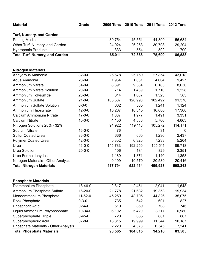| <b>Material</b>                                    | Grade         | <b>2009 Tons</b> | <b>2010 Tons</b> | <b>2011 Tons</b> | <b>2012 Tons</b> |
|----------------------------------------------------|---------------|------------------|------------------|------------------|------------------|
| Turf, Nursery, and Garden                          |               |                  |                  |                  |                  |
| <b>Potting Media</b>                               |               | 39,754           | 45,551           | 44,399           | 56,684           |
| Other Turf, Nursery, and Garden                    |               | 24,924           | 26,263           | 30,708           | 29,204           |
| <b>Hydroponic Products</b>                         |               | 333              | 554              | 592              | 700              |
| <b>Total Turf, Nursery, and Garden</b>             |               | 65,011           | 72,368           | 75,699           | 86,588           |
| <b>Nitrogen Materials</b>                          |               |                  |                  |                  |                  |
| Anhydrous Ammonia                                  | $82 - 0 - 0$  | 26,678           | 25,759           | 27,854           | 43,018           |
| Aqua Ammonia                                       | $20 - 0 - 0$  | 1,954            | 1,851            | 4,004            | 1,427            |
| <b>Ammonium Nitrate</b>                            | $34 - 0 - 0$  | 8,391            | 9,384            | 6,183            | 8,630            |
| <b>Ammonium Nitrate Solution</b>                   | $20 - 0 - 0$  | 714              | 1,439            | 1,710            | 1,228            |
| Ammonium Polysulfide                               | $20 - 0 - 0$  | 314              | 1,087            | 1,323            | 583              |
| <b>Ammonium Sulfate</b>                            | $21 - 0 - 0$  | 105,587          | 128,993          | 102,492          | 91,378           |
| <b>Ammonium Sulfate Solution</b>                   | $6 - 0 - 0$   | 662              | 585              | 1,241            | 1,124            |
| <b>Ammonium Thiosulfate</b>                        | $12 - 0 - 0$  | 10,267           | 16,315           | 16,080           | 17,306           |
| <b>Calcium Ammonium Nitrate</b>                    | $17 - 0 - 0$  | 1,837            | 1,977            | 1,491            | 3,331            |
| <b>Calcium Nitrate</b>                             | $15 - 0 - 0$  | 4,156            | 4,580            | 5,760            | 4,663            |
| Nitrogen Solutions 28% - 32%                       |               | 94,922           | 119,116          | 105,272          | 114,171          |
| Sodium Nitrate                                     | $16 - 0 - 0$  | 76               | 4                | 31               | 0                |
| <b>Sulfur Coated Urea</b>                          | $36 - 0 - 0$  | 666              | 665              | 1,230            | 2,437            |
| <b>Polymer Coated Urea</b>                         | $42 - 0 - 0$  | 5,352            | 6,325            | 7,233            | 5,204            |
| Urea                                               | $46 - 0 - 0$  | 145,733          | 192,250          | 195,511          | 189,718          |
| <b>Urea Solution</b>                               | $20 - 0 - 0$  | 106              | 134              | 829              | 2,351            |
| Urea Formaldehydes                                 |               | 1,180            | 1,371            | 1,140            | 1,358            |
| Nitrogen Materials - Other Analysis                |               | 9,199            | 10,579           | 20,539           | 20,416           |
| <b>Total Nitrogen Materials</b>                    |               | 417,794          | 522,414          | 499,923          | 508,343          |
|                                                    |               |                  |                  |                  |                  |
| <b>Phosphate Materials</b><br>Diammonium Phosphate | 18-46-0       | 2,817            | 2,451            | 2,041            | 1,648            |
| Ammonium Phosphate Sulfate                         | $16 - 20 - 0$ | 21,778           | 21,682           | 19,353           | 19,934           |
| Monoammonium Phosphate                             | $11 - 52 - 0$ | 45,259           | 48,705           | 44,826           | 35,075           |
| <b>Rock Phosphate</b>                              | $0 - 3 - 0$   | 735              | 642              | 601              | 827              |
| Phosphoric Acid                                    | $0 - 54 - 0$  | 619              | 869              | 708              | 746              |
| Liquid Ammonium Polyphosphate                      | $10 - 34 - 0$ | 6,102            | 5,429            | 8,117            | 6,980            |
| Superphosphate, Triple                             | $0 - 45 - 0$  | 720              | 665              | 681              | 867              |
| Superphosphoric Acid                               | $0 - 68 - 0$  | 18,315           | 19,999           | 11,544           | 10,187           |
| Phosphate Materials - Other Analysis               |               | 2,220            | 4,373            | 6,345            | 7,241            |
| <b>Total Phosphate Materials</b>                   |               | 98,565           | 104,815          | 94,216           | 83,505           |